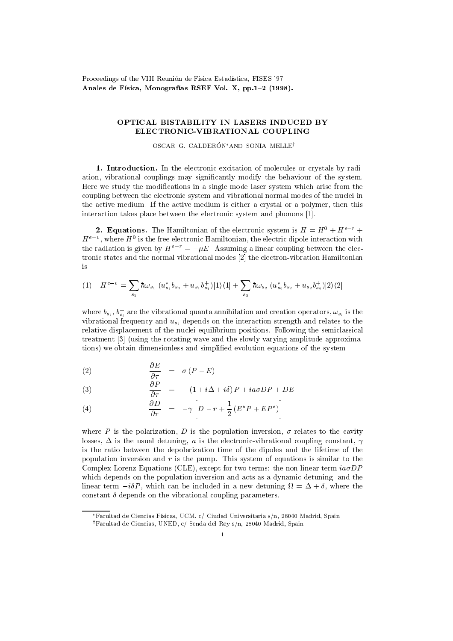Proceedings of the VIII Reunión de Física Estadística, FISES '97 Anales de Física, Monografías RSEF Vol. X, pp.1-2 (1998).

## OPTICAL BISTABILITY IN LASERS INDUCED BY ELECTRONIC-VIBRATIONAL COUPLING

OSCAR G. CALDERÓN\*AND SONIA MELLE<sup>†</sup>

1. Introduction. In the electronic excitation of molecules or crystals by radiation, vibrational couplings may signicantly modify the behaviour of the system. Here we study the modications in a single mode laser system which arise from the coupling between the electronic system and vibrational normal modes of the nuclei in the active medium. If the active medium is either a crystal or a polymer, then this interaction takes place between the electronic system and phonons [1].

**2. Equations.** The Hamiltonian of the electronic system is  $H = H^0 + H^{e-r}$  +  $H^+$  , where  $H^+$  is the free electronic Hamiltonian, the electric dipole interaction with the radiation is given by  $H^{e-r} = -\mu E$ . Assuming a linear coupling between the electronic states and the normal vibrational modes [2] the electron-vibration Hamiltonian is

$$
(1) \quad H^{e-v} = \sum_{s_1} \hbar \omega_{s_1} (u_{s_1}^* b_{s_1} + u_{s_1} b_{s_1}^+)|1\rangle\langle 1| + \sum_{s_2} \hbar \omega_{s_2} (u_{s_2}^* b_{s_2} + u_{s_2} b_{s_2}^+)|2\rangle\langle 2|
$$

where  $b_{s_i},\,b_{s_i}$  are the vibrational quanta annihilation and creation operators,  $\omega_{s_i}$  is the vibrational frequency and  $u_{s_i}$  depends on the interaction strength and relates to the relative displacement of the nuclei equilibrium positions. Following the semiclassical treatment [3] (using the rotating wave and the slowly varying amplitude approximations) we obtain dimensionless and simplied evolution equations of the system

(2) 
$$
\frac{\partial E}{\partial \tau} = \sigma (P - E)
$$

(3) 
$$
\frac{\partial P}{\partial \tau} = -(1 + i\Delta + i\delta) P + i a \sigma D P + D E
$$

(4) 
$$
\frac{\partial D}{\partial \tau} = -\gamma \left[ D - r + \frac{1}{2} \left( E^* P + E P^* \right) \right]
$$

where P is the polarization, D is the population inversion,  $\sigma$  relates to the cavity losses,  $\Delta$  is the usual detuning, a is the electronic-vibrational coupling constant,  $\gamma$ is the ratio between the depolarization time of the dipoles and the lifetime of the population inversion and r is the pump. This system of equations is similar to the Complex Lorenz Equations (CLE), except for two terms: the non-linear term  $ia\sigma DP$ which depends on the population inversion and acts as a dynamic detuning; and the linear term iP , which can be included in a new detuning =+ , where the constant  $\delta$  depends on the vibrational coupling parameters.

<sup>\*</sup>Facultad de Ciencias Físicas, UCM, c/ Ciudad Universitaria s/n, 28040 Madrid, Spain yFacultad de Ciencias, UNED, c/ Senda del Rey s/n, 28040 Madrid, Spain